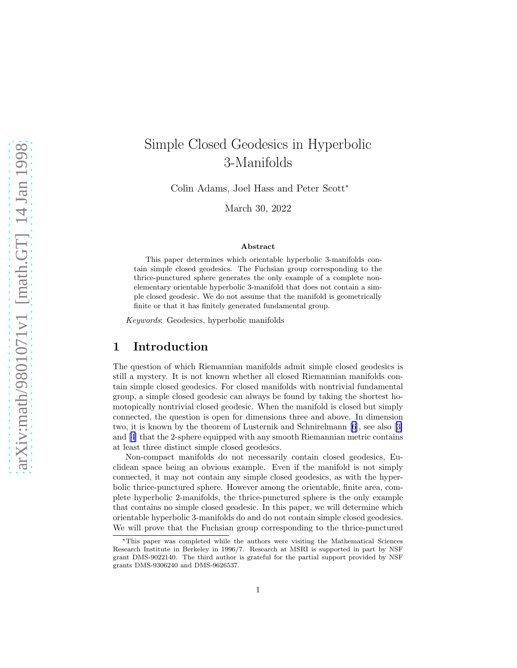# Simple Closed Geodesics in Hyperbolic 3-Manifolds

Colin Adams, Joel Hass and Peter Scott<sup>∗</sup>

March 30, 2022

#### Abstract

This paper determines which orientable hyperbolic 3-manifolds contain simple closed geodesics. The Fuchsian group corresponding to the thrice-punctured sphere generates the only example of a complete nonelementary orientable hyperbolic 3-manifold that does not contain a simple closed geodesic. We do not assume that the manifold is geometrically finite or that it has finitely generated fundamental group.

*Keywords*: Geodesics, hyperbolic manifolds

### 1 Introduction

The question of which Riemannian manifolds admit simple closed geodesics is still a mystery. It is not known whether all closed Riemannian manifolds contain simple closed geodesics. For closed manifolds with nontrivial fundamental group, a simple closed geodesic can always be found by taking the shortest homotopically nontrivial closed geodesic. When the manifold is closed but simply connected, the question is open for dimensions three and above. In dimension two, it is known by the theorem of Lusternik and Schnirelmann [\[6](#page-5-0)], see also[[3\]](#page-5-0) and [\[4](#page-5-0)] that the 2-sphere equipped with any smooth Riemannian metric contains at least three distinct simple closed geodesics.

Non-compact manifolds do not necessarily contain closed geodesics, Euclidean space being an obvious example. Even if the manifold is not simply connected, it may not contain any simple closed geodesics, as with the hyperbolic thrice-punctured sphere. However among the orientable, finite area, complete hyperbolic 2-manifolds, the thrice-punctured sphere is the only example that contains no simple closed geodesic. In this paper, we will determine which orientable hyperbolic 3-manifolds do and do not contain simple closed geodesics. We will prove that the Fuchsian group corresponding to the thrice-punctured

<sup>∗</sup>This paper was completed while the authors were visiting the Mathematical Sciences Research Institute in Berkeley in 1996/7. Research at MSRI is supported in part by NSF grant DMS-9022140. The third author is grateful for the partial support provided by NSF grants DMS-9306240 and DMS-9626537.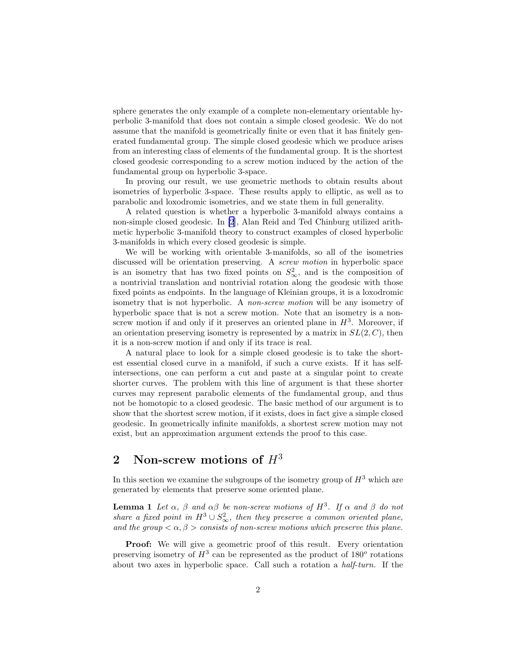<span id="page-1-0"></span>sphere generates the only example of a complete non-elementary orientable hyperbolic 3-manifold that does not contain a simple closed geodesic. We do not assume that the manifold is geometrically finite or even that it has finitely generated fundamental group. The simple closed geodesic which we produce arises from an interesting class of elements of the fundamental group. It is the shortest closed geodesic corresponding to a screw motion induced by the action of the fundamental group on hyperbolic 3-space.

In proving our result, we use geometric methods to obtain results about isometries of hyperbolic 3-space. These results apply to elliptic, as well as to parabolic and loxodromic isometries, and we state them in full generality.

A related question is whether a hyperbolic 3-manifold always contains a non-simple closed geodesic. In [\[2](#page-5-0)], Alan Reid and Ted Chinburg utilized arithmetic hyperbolic 3-manifold theory to construct examples of closed hyperbolic 3-manifolds in which every closed geodesic is simple.

We will be working with orientable 3-manifolds, so all of the isometries discussed will be orientation preserving. A *screw motion* in hyperbolic space is an isometry that has two fixed points on  $S_{\infty}^2$ , and is the composition of a nontrivial translation and nontrivial rotation along the geodesic with those fixed points as endpoints. In the language of Kleinian groups, it is a loxodromic isometry that is not hyperbolic. A *non-screw motion* will be any isometry of hyperbolic space that is not a screw motion. Note that an isometry is a nonscrew motion if and only if it preserves an oriented plane in  $H^3$ . Moreover, if an orientation preserving isometry is represented by a matrix in  $SL(2, C)$ , then it is a non-screw motion if and only if its trace is real.

A natural place to look for a simple closed geodesic is to take the shortest essential closed curve in a manifold, if such a curve exists. If it has selfintersections, one can perform a cut and paste at a singular point to create shorter curves. The problem with this line of argument is that these shorter curves may represent parabolic elements of the fundamental group, and thus not be homotopic to a closed geodesic. The basic method of our argument is to show that the shortest screw motion, if it exists, does in fact give a simple closed geodesic. In geometrically infinite manifolds, a shortest screw motion may not exist, but an approximation argument extends the proof to this case.

## 2 Non-screw motions of  $H^3$

In this section we examine the subgroups of the isometry group of  $H^3$  which are generated by elements that preserve some oriented plane.

**Lemma 1** Let  $\alpha$ ,  $\beta$  and  $\alpha\beta$  be non-screw motions of  $H^3$ . If  $\alpha$  and  $\beta$  do not *share a fixed point in*  $H^3 \cup S^2_{\infty}$ , then they preserve a common oriented plane, *and the group*  $\langle \alpha, \beta \rangle$  *consists of non-screw motions which preserve this plane.* 

Proof: We will give a geometric proof of this result. Every orientation preserving isometry of  $H^3$  can be represented as the product of 180<sup>o</sup> rotations about two axes in hyperbolic space. Call such a rotation a *half-turn.* If the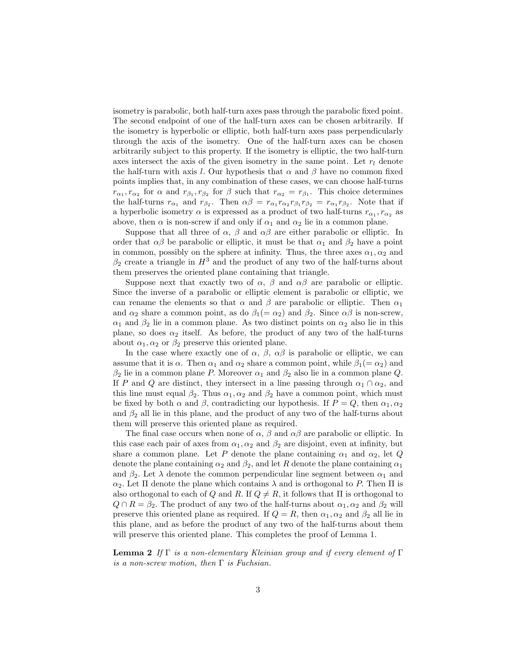<span id="page-2-0"></span>isometry is parabolic, both half-turn axes pass through the parabolic fixed point. The second endpoint of one of the half-turn axes can be chosen arbitrarily. If the isometry is hyperbolic or elliptic, both half-turn axes pass perpendicularly through the axis of the isometry. One of the half-turn axes can be chosen arbitrarily subject to this property. If the isometry is elliptic, the two half-turn axes intersect the axis of the given isometry in the same point. Let  $r_l$  denote the half-turn with axis l. Our hypothesis that  $\alpha$  and  $\beta$  have no common fixed points implies that, in any combination of these cases, we can choose half-turns  $r_{\alpha_1}, r_{\alpha_2}$  for  $\alpha$  and  $r_{\beta_1}, r_{\beta_2}$  for  $\beta$  such that  $r_{\alpha_2} = r_{\beta_1}$ . This choice determines the half-turns  $r_{\alpha_1}$  and  $r_{\beta_2}$ . Then  $\alpha\beta = r_{\alpha_1}r_{\alpha_2}r_{\beta_1}r_{\beta_2} = r_{\alpha_1}r_{\beta_2}$ . Note that if a hyperbolic isometry  $\alpha$  is expressed as a product of two half-turns  $r_{\alpha_1}, r_{\alpha_2}$  as above, then  $\alpha$  is non-screw if and only if  $\alpha_1$  and  $\alpha_2$  lie in a common plane.

Suppose that all three of  $\alpha$ ,  $\beta$  and  $\alpha\beta$  are either parabolic or elliptic. In order that  $\alpha\beta$  be parabolic or elliptic, it must be that  $\alpha_1$  and  $\beta_2$  have a point in common, possibly on the sphere at infinity. Thus, the three axes  $\alpha_1, \alpha_2$  and  $\beta_2$  create a triangle in  $H^3$  and the product of any two of the half-turns about them preserves the oriented plane containing that triangle.

Suppose next that exactly two of  $\alpha$ ,  $\beta$  and  $\alpha\beta$  are parabolic or elliptic. Since the inverse of a parabolic or elliptic element is parabolic or elliptic, we can rename the elements so that  $\alpha$  and  $\beta$  are parabolic or elliptic. Then  $\alpha_1$ and  $\alpha_2$  share a common point, as do  $\beta_1(=\alpha_2)$  and  $\beta_2$ . Since  $\alpha\beta$  is non-screw,  $\alpha_1$  and  $\beta_2$  lie in a common plane. As two distinct points on  $\alpha_2$  also lie in this plane, so does  $\alpha_2$  itself. As before, the product of any two of the half-turns about  $\alpha_1, \alpha_2$  or  $\beta_2$  preserve this oriented plane.

In the case where exactly one of  $\alpha$ ,  $\beta$ ,  $\alpha\beta$  is parabolic or elliptic, we can assume that it is  $\alpha$ . Then  $\alpha_1$  and  $\alpha_2$  share a common point, while  $\beta_1(=\alpha_2)$  and  $\beta_2$  lie in a common plane P. Moreover  $\alpha_1$  and  $\beta_2$  also lie in a common plane Q. If P and Q are distinct, they intersect in a line passing through  $\alpha_1 \cap \alpha_2$ , and this line must equal  $\beta_2$ . Thus  $\alpha_1, \alpha_2$  and  $\beta_2$  have a common point, which must be fixed by both  $\alpha$  and  $\beta$ , contradicting our hypothesis. If  $P = Q$ , then  $\alpha_1, \alpha_2$ and  $\beta_2$  all lie in this plane, and the product of any two of the half-turns about them will preserve this oriented plane as required.

The final case occurs when none of  $\alpha$ ,  $\beta$  and  $\alpha\beta$  are parabolic or elliptic. In this case each pair of axes from  $\alpha_1, \alpha_2$  and  $\beta_2$  are disjoint, even at infinity, but share a common plane. Let P denote the plane containing  $\alpha_1$  and  $\alpha_2$ , let Q denote the plane containing  $\alpha_2$  and  $\beta_2$ , and let R denote the plane containing  $\alpha_1$ and  $\beta_2$ . Let  $\lambda$  denote the common perpendicular line segment between  $\alpha_1$  and  $\alpha_2$ . Let  $\Pi$  denote the plane which contains  $\lambda$  and is orthogonal to P. Then  $\Pi$  is also orthogonal to each of Q and R. If  $Q \neq R$ , it follows that  $\Pi$  is orthogonal to  $Q \cap R = \beta_2$ . The product of any two of the half-turns about  $\alpha_1, \alpha_2$  and  $\beta_2$  will preserve this oriented plane as required. If  $Q = R$ , then  $\alpha_1, \alpha_2$  and  $\beta_2$  all lie in this plane, and as before the product of any two of the half-turns about them will preserve this oriented plane. This completes the proof of Lemma 1.

Lemma 2 *If* Γ *is a non-elementary Kleinian group and if every element of* Γ *is a non-screw motion, then* Γ *is Fuchsian.*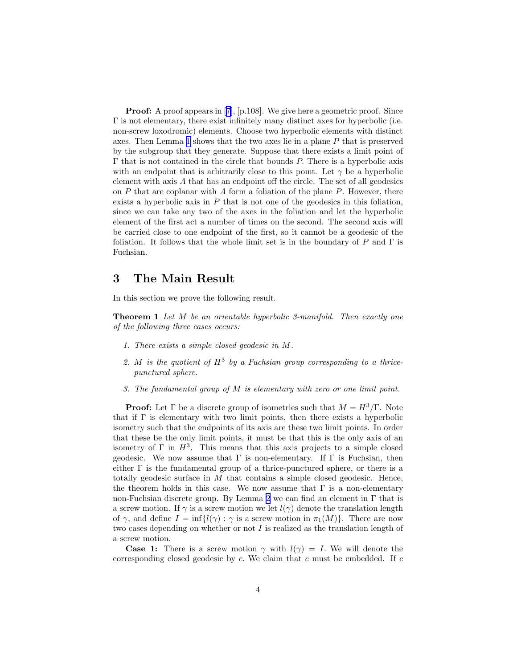**Proof:** A proof appears in [\[7](#page-6-0)], [p.108]. We give here a geometric proof. Since Γ is not elementary, there exist infinitely many distinct axes for hyperbolic (i.e. non-screw loxodromic) elements. Choose two hyperbolic elements with distinct axes. Then Lemma [1](#page-1-0) shows that the two axes lie in a plane P that is preserved by the subgroup that they generate. Suppose that there exists a limit point of Γ that is not contained in the circle that bounds P. There is a hyperbolic axis with an endpoint that is arbitrarily close to this point. Let  $\gamma$  be a hyperbolic element with axis A that has an endpoint off the circle. The set of all geodesics on  $P$  that are coplanar with  $\tilde{A}$  form a foliation of the plane  $P$ . However, there exists a hyperbolic axis in  $P$  that is not one of the geodesics in this foliation, since we can take any two of the axes in the foliation and let the hyperbolic element of the first act a number of times on the second. The second axis will be carried close to one endpoint of the first, so it cannot be a geodesic of the foliation. It follows that the whole limit set is in the boundary of P and  $\Gamma$  is Fuchsian.

### 3 The Main Result

In this section we prove the following result.

Theorem 1 *Let* M *be an orientable hyperbolic 3-manifold. Then exactly one of the following three cases occurs:*

- *1. There exists a simple closed geodesic in* M*.*
- 2. M is the quotient of  $H^3$  by a Fuchsian group corresponding to a thrice*punctured sphere.*
- *3. The fundamental group of* M *is elementary with zero or one limit point.*

**Proof:** Let  $\Gamma$  be a discrete group of isometries such that  $M = H^3/\Gamma$ . Note that if  $\Gamma$  is elementary with two limit points, then there exists a hyperbolic isometry such that the endpoints of its axis are these two limit points. In order that these be the only limit points, it must be that this is the only axis of an isometry of  $\Gamma$  in  $H^3$ . This means that this axis projects to a simple closed geodesic. We now assume that  $\Gamma$  is non-elementary. If  $\Gamma$  is Fuchsian, then either  $\Gamma$  is the fundamental group of a thrice-punctured sphere, or there is a totally geodesic surface in  $M$  that contains a simple closed geodesic. Hence, the theorem holds in this case. We now assume that  $\Gamma$  is a non-elementary non-Fuchsian discrete group. By Lemma [2](#page-2-0) we can find an element in Γ that is a screw motion. If  $\gamma$  is a screw motion we let  $l(\gamma)$  denote the translation length of  $\gamma$ , and define  $I = \inf\{l(\gamma) : \gamma \text{ is a screw motion in } \pi_1(M)\}\.$  There are now two cases depending on whether or not  $I$  is realized as the translation length of a screw motion.

**Case 1:** There is a screw motion  $\gamma$  with  $l(\gamma) = I$ . We will denote the corresponding closed geodesic by  $c$ . We claim that  $c$  must be embedded. If  $c$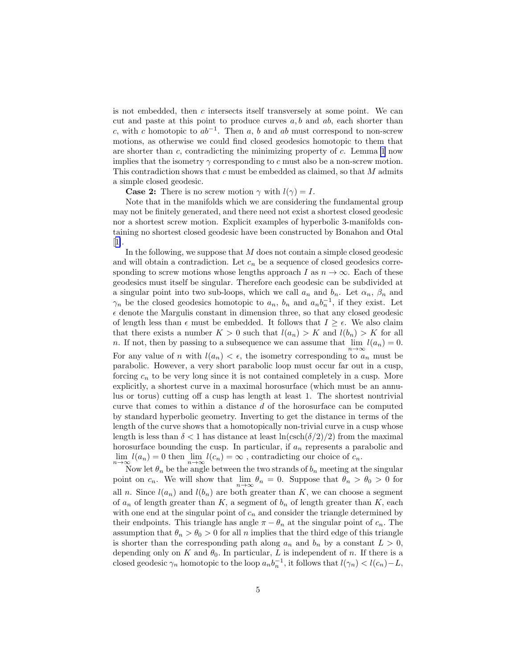is not embedded, then c intersects itself transversely at some point. We can cut and paste at this point to produce curves  $a, b$  and  $ab$ , each shorter than c, with c homotopic to  $ab^{-1}$ . Then a, b and ab must correspond to non-screw motions, as otherwise we could find closed geodesics homotopic to them that are shorter than c, contradicting the minimizing property of  $c$ . Lemma [1](#page-1-0) now implies that the isometry  $\gamma$  corresponding to c must also be a non-screw motion. This contradiction shows that  $c$  must be embedded as claimed, so that  $M$  admits a simple closed geodesic.

**Case 2:** There is no screw motion  $\gamma$  with  $l(\gamma) = I$ .

Note that in the manifolds which we are considering the fundamental group may not be finitely generated, and there need not exist a shortest closed geodesic nor a shortest screw motion. Explicit examples of hyperbolic 3-manifolds containing no shortest closed geodesic have been constructed by Bonahon and Otal [[1\]](#page-5-0).

In the following, we suppose that M does not contain a simple closed geodesic and will obtain a contradiction. Let  $c_n$  be a sequence of closed geodesics corresponding to screw motions whose lengths approach I as  $n \to \infty$ . Each of these geodesics must itself be singular. Therefore each geodesic can be subdivided at a singular point into two sub-loops, which we call  $a_n$  and  $b_n$ . Let  $\alpha_n$ ,  $\beta_n$  and  $\gamma_n$  be the closed geodesics homotopic to  $a_n$ ,  $b_n$  and  $a_n b_n^{-1}$ , if they exist. Let  $\epsilon$  denote the Margulis constant in dimension three, so that any closed geodesic of length less than  $\epsilon$  must be embedded. It follows that  $I \geq \epsilon$ . We also claim that there exists a number  $K > 0$  such that  $l(a_n) > K$  and  $l(b_n) > K$  for all n. If not, then by passing to a subsequence we can assume that  $\lim_{n\to\infty} l(a_n) = 0$ .

For any value of n with  $l(a_n) < \epsilon$ , the isometry corresponding to  $a_n$  must be parabolic. However, a very short parabolic loop must occur far out in a cusp, forcing  $c_n$  to be very long since it is not contained completely in a cusp. More explicitly, a shortest curve in a maximal horosurface (which must be an annulus or torus) cutting off a cusp has length at least 1. The shortest nontrivial curve that comes to within a distance d of the horosurface can be computed by standard hyperbolic geometry. Inverting to get the distance in terms of the length of the curve shows that a homotopically non-trivial curve in a cusp whose length is less than  $\delta < 1$  has distance at least  $\ln(\operatorname{csch}(\delta/2)/2)$  from the maximal horosurface bounding the cusp. In particular, if  $a_n$  represents a parabolic and  $\lim_{n \to \infty} l(a_n) = 0$  then  $\lim_{n \to \infty} l(c_n) = \infty$ , contradicting our choice of  $c_n$ .

Now let  $\theta_n$  be the angle between the two strands of  $b_n$  meeting at the singular point on  $c_n$ . We will show that  $\lim_{n\to\infty} \theta_n = 0$ . Suppose that  $\theta_n > \theta_0 > 0$  for all *n*. Since  $l(a_n)$  and  $l(b_n)$  are both greater than K, we can choose a segment of  $a_n$  of length greater than K, a segment of  $b_n$  of length greater than K, each with one end at the singular point of  $c_n$  and consider the triangle determined by their endpoints. This triangle has angle  $\pi - \theta_n$  at the singular point of  $c_n$ . The assumption that  $\theta_n > \theta_0 > 0$  for all n implies that the third edge of this triangle is shorter than the corresponding path along  $a_n$  and  $b_n$  by a constant  $L > 0$ , depending only on K and  $\theta_0$ . In particular, L is independent of n. If there is a closed geodesic  $\gamma_n$  homotopic to the loop  $a_n b_n^{-1}$ , it follows that  $l(\gamma_n) < l(c_n) - L$ ,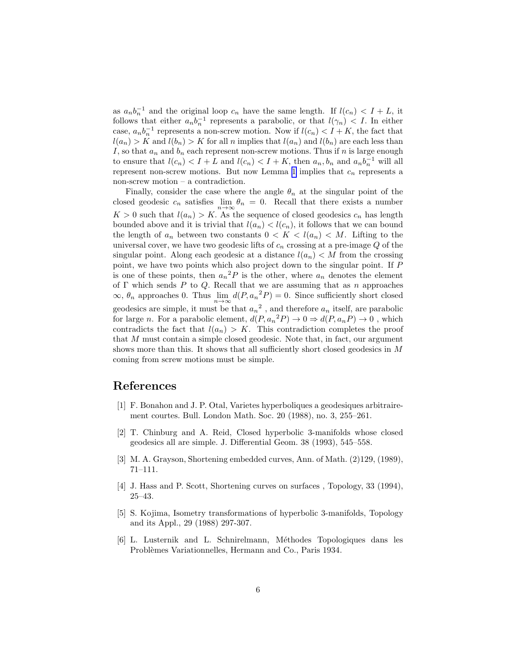<span id="page-5-0"></span>as  $a_n b_n^{-1}$  and the original loop  $c_n$  have the same length. If  $l(c_n) < I + L$ , it follows that either  $a_n b_n^{-1}$  represents a parabolic, or that  $l(\gamma_n) < I$ . In either case,  $a_n b_n^{-1}$  represents a non-screw motion. Now if  $l(c_n) < I + K$ , the fact that  $l(a_n) > K$  and  $l(b_n) > K$  for all n implies that  $l(a_n)$  and  $l(b_n)$  are each less than I, so that  $a_n$  and  $b_n$  each represent non-screw motions. Thus if n is large enough to ensure that  $l(c_n) < I + L$  and  $l(c_n) < I + K$ , then  $a_n, b_n$  and  $a_n b_n^{-1}$  will all represent non-screw motions. But now Lemma [1](#page-1-0) implies that  $c_n$  represents a non-screw motion – a contradiction.

Finally, consider the case where the angle  $\theta_n$  at the singular point of the closed geodesic  $c_n$  satisfies  $\lim_{n\to\infty} \theta_n = 0$ . Recall that there exists a number  $K > 0$  such that  $l(a_n) > K$ . As the sequence of closed geodesics  $c_n$  has length bounded above and it is trivial that  $l(a_n) < l(c_n)$ , it follows that we can bound the length of  $a_n$  between two constants  $0 < K < l(a_n) < M$ . Lifting to the universal cover, we have two geodesic lifts of  $c_n$  crossing at a pre-image  $Q$  of the singular point. Along each geodesic at a distance  $l(a_n) < M$  from the crossing point, we have two points which also project down to the singular point. If P is one of these points, then  $a_n^2 P$  is the other, where  $a_n$  denotes the element of  $\Gamma$  which sends P to Q. Recall that we are assuming that as n approaches  $\infty$ ,  $\theta_n$  approaches 0. Thus  $\lim_{n\to\infty} d(P, a_n^2 P) = 0$ . Since sufficiently short closed geodesics are simple, it must be that  $a_n^2$ , and therefore  $a_n$  itself, are parabolic for large *n*. For a parabolic element,  $d(P, a_n^2 P) \to 0 \Rightarrow d(P, a_n P) \to 0$ , which contradicts the fact that  $l(a_n) > K$ . This contradiction completes the proof that M must contain a simple closed geodesic. Note that, in fact, our argument shows more than this. It shows that all sufficiently short closed geodesics in M coming from screw motions must be simple.

### References

- [1] F. Bonahon and J. P. Otal, Varietes hyperboliques a geodesiques arbitrairement courtes. Bull. London Math. Soc. 20 (1988), no. 3, 255–261.
- [2] T. Chinburg and A. Reid, Closed hyperbolic 3-manifolds whose closed geodesics all are simple. J. Differential Geom. 38 (1993), 545–558.
- [3] M. A. Grayson, Shortening embedded curves, Ann. of Math. (2)129, (1989), 71–111.
- [4] J. Hass and P. Scott, Shortening curves on surfaces , Topology, 33 (1994), 25–43.
- [5] S. Kojima, Isometry transformations of hyperbolic 3-manifolds, Topology and its Appl., 29 (1988) 297-307.
- [6] L. Lusternik and L. Schnirelmann, M´ethodes Topologiques dans les Problèmes Variationnelles, Hermann and Co., Paris 1934.